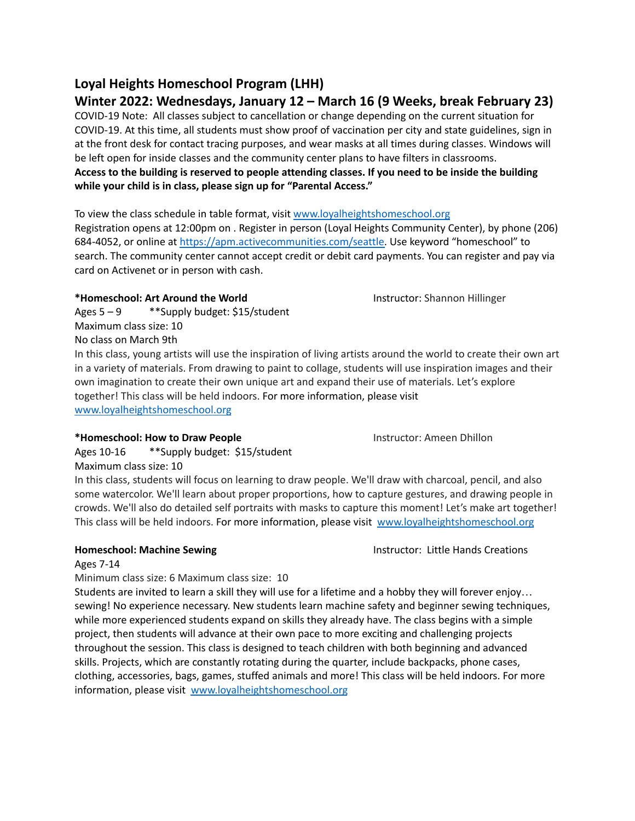# **Loyal Heights Homeschool Program (LHH)**

# **Winter 2022: Wednesdays, January 12 – March 16 (9 Weeks, break February 23)**

COVID-19 Note: All classes subject to cancellation or change depending on the current situation for COVID-19. At this time, all students must show proof of vaccination per city and state guidelines, sign in at the front desk for contact tracing purposes, and wear masks at all times during classes. Windows will be left open for inside classes and the community center plans to have filters in classrooms. Access to the building is reserved to people attending classes. If you need to be inside the building **while your child is in class, please sign up for "Parental Access."**

To view the class schedule in table format, visit [www.loyalheightshomeschool.org](http://www.loyalheightshomeschool.org) Registration opens at 12:00pm on . Register in person (Loyal Heights Community Center), by phone (206) 684-4052, or online at [https://apm.activecommunities.com/seattle.](https://apm.activecommunities.com/seattle) Use keyword "homeschool" to search. The community center cannot accept credit or debit card payments. You can register and pay via card on Activenet or in person with cash.

## **\*Homeschool: Art Around the World** Instructor: Shannon Hillinger

Ages 5 – 9 \*\*Supply budget: \$15/student Maximum class size: 10 No class on March 9th

In this class, young artists will use the inspiration of living artists around the world to create their own art in a variety of materials. From drawing to paint to collage, students will use inspiration images and their own imagination to create their own unique art and expand their use of materials. Let's explore together! This class will be held indoors. For more information, please visit [www.loyalheightshomeschool.org](http://www.loyalheightshomeschool.org)

## **\*Homeschool: How to Draw People** Instructor: Ameen Dhillon

Ages 10-16 \*\*Supply budget: \$15/student Maximum class size: 10

In this class, students will focus on learning to draw people. We'll draw with charcoal, pencil, and also some watercolor. We'll learn about proper proportions, how to capture gestures, and drawing people in crowds. We'll also do detailed self portraits with masks to capture this moment! Let's make art together! This class will be held indoors. For more information, please visit [www.loyalheightshomeschool.org](http://www.loyalheightshomeschool.org)

**Homeschool: Machine Sewing Instruction: Little Hands Creations** 

### Ages 7-14

Minimum class size: 6 Maximum class size: 10

Students are invited to learn a skill they will use for a lifetime and a hobby they will forever enjoy… sewing! No experience necessary. New students learn machine safety and beginner sewing techniques, while more experienced students expand on skills they already have. The class begins with a simple project, then students will advance at their own pace to more exciting and challenging projects throughout the session. This class is designed to teach children with both beginning and advanced skills. Projects, which are constantly rotating during the quarter, include backpacks, phone cases, clothing, accessories, bags, games, stuffed animals and more! This class will be held indoors. For more information, please visit [www.loyalheightshomeschool.org](http://www.loyalheightshomeschool.org)